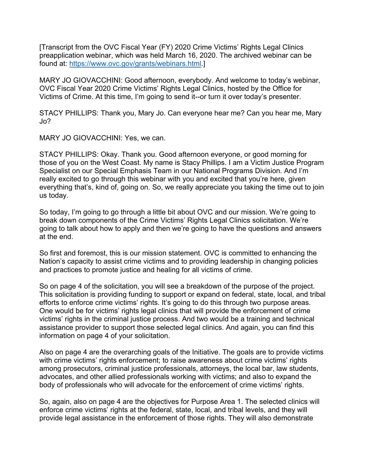[Transcript from the OVC Fiscal Year (FY) 2020 Crime Victims' Rights Legal Clinics preapplication webinar, which was held March 16, 2020. The archived webinar can be found at: https://www.ovc.gov/grants/webinars.html.]

MARY JO GIOVACCHINI: Good afternoon, everybody. And welcome to today's webinar, OVC Fiscal Year 2020 Crime Victims' Rights Legal Clinics, hosted by the Office for Victims of Crime. At this time, I'm going to send it--or turn it over today's presenter.

STACY PHILLIPS: Thank you, Mary Jo. Can everyone hear me? Can you hear me, Mary Jo?

MARY JO GIOVACCHINI: Yes, we can.

STACY PHILLIPS: Okay. Thank you. Good afternoon everyone, or good morning for those of you on the West Coast. My name is Stacy Phillips. I am a Victim Justice Program Specialist on our Special Emphasis Team in our National Programs Division. And I'm really excited to go through this webinar with you and excited that you're here, given everything that's, kind of, going on. So, we really appreciate you taking the time out to join us today.

So today, I'm going to go through a little bit about OVC and our mission. We're going to break down components of the Crime Victims' Rights Legal Clinics solicitation. We're going to talk about how to apply and then we're going to have the questions and answers at the end.

So first and foremost, this is our mission statement. OVC is committed to enhancing the Nation's capacity to assist crime victims and to providing leadership in changing policies and practices to promote justice and healing for all victims of crime.

So on page 4 of the solicitation, you will see a breakdown of the purpose of the project. This solicitation is providing funding to support or expand on federal, state, local, and tribal efforts to enforce crime victims' rights. It's going to do this through two purpose areas. One would be for victims' rights legal clinics that will provide the enforcement of crime victims' rights in the criminal justice process. And two would be a training and technical assistance provider to support those selected legal clinics. And again, you can find this information on page 4 of your solicitation.

Also on page 4 are the overarching goals of the Initiative. The goals are to provide victims with crime victims' rights enforcement; to raise awareness about crime victims' rights among prosecutors, criminal justice professionals, attorneys, the local bar, law students, advocates, and other allied professionals working with victims; and also to expand the body of professionals who will advocate for the enforcement of crime victims' rights.

So, again, also on page 4 are the objectives for Purpose Area 1. The selected clinics will enforce crime victims' rights at the federal, state, local, and tribal levels, and they will provide legal assistance in the enforcement of those rights. They will also demonstrate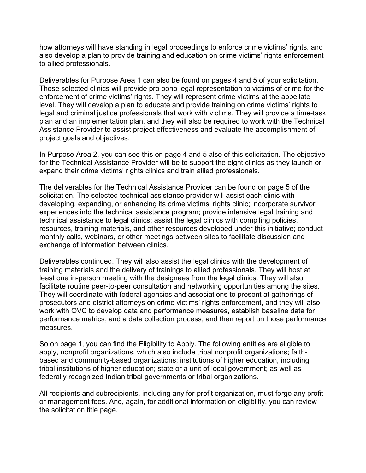how attorneys will have standing in legal proceedings to enforce crime victims' rights, and also develop a plan to provide training and education on crime victims' rights enforcement to allied professionals.

Deliverables for Purpose Area 1 can also be found on pages 4 and 5 of your solicitation. Those selected clinics will provide pro bono legal representation to victims of crime for the enforcement of crime victims' rights. They will represent crime victims at the appellate level. They will develop a plan to educate and provide training on crime victims' rights to legal and criminal justice professionals that work with victims. They will provide a time-task plan and an implementation plan, and they will also be required to work with the Technical Assistance Provider to assist project effectiveness and evaluate the accomplishment of project goals and objectives.

In Purpose Area 2, you can see this on page 4 and 5 also of this solicitation. The objective for the Technical Assistance Provider will be to support the eight clinics as they launch or expand their crime victims' rights clinics and train allied professionals.

The deliverables for the Technical Assistance Provider can be found on page 5 of the solicitation. The selected technical assistance provider will assist each clinic with developing, expanding, or enhancing its crime victims' rights clinic; incorporate survivor experiences into the technical assistance program; provide intensive legal training and technical assistance to legal clinics; assist the legal clinics with compiling policies, resources, training materials, and other resources developed under this initiative; conduct monthly calls, webinars, or other meetings between sites to facilitate discussion and exchange of information between clinics.

Deliverables continued. They will also assist the legal clinics with the development of training materials and the delivery of trainings to allied professionals. They will host at least one in-person meeting with the designees from the legal clinics. They will also facilitate routine peer-to-peer consultation and networking opportunities among the sites. They will coordinate with federal agencies and associations to present at gatherings of prosecutors and district attorneys on crime victims' rights enforcement, and they will also work with OVC to develop data and performance measures, establish baseline data for performance metrics, and a data collection process, and then report on those performance measures.

So on page 1, you can find the Eligibility to Apply. The following entities are eligible to apply, nonprofit organizations, which also include tribal nonprofit organizations; faithbased and community-based organizations; institutions of higher education, including tribal institutions of higher education; state or a unit of local government; as well as federally recognized Indian tribal governments or tribal organizations.

All recipients and subrecipients, including any for-profit organization, must forgo any profit or management fees. And, again, for additional information on eligibility, you can review the solicitation title page.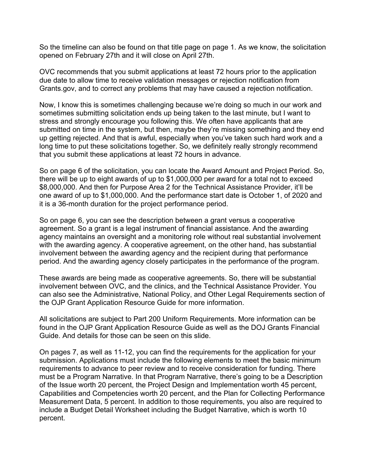So the timeline can also be found on that title page on page 1. As we know, the solicitation opened on February 27th and it will close on April 27th.

OVC recommends that you submit applications at least 72 hours prior to the application due date to allow time to receive validation messages or rejection notification from Grants.gov, and to correct any problems that may have caused a rejection notification.

Now, I know this is sometimes challenging because we're doing so much in our work and sometimes submitting solicitation ends up being taken to the last minute, but I want to stress and strongly encourage you following this. We often have applicants that are submitted on time in the system, but then, maybe they're missing something and they end up getting rejected. And that is awful, especially when you've taken such hard work and a long time to put these solicitations together. So, we definitely really strongly recommend that you submit these applications at least 72 hours in advance.

So on page 6 of the solicitation, you can locate the Award Amount and Project Period. So, there will be up to eight awards of up to \$1,000,000 per award for a total not to exceed \$8,000,000. And then for Purpose Area 2 for the Technical Assistance Provider, it'll be one award of up to \$1,000,000. And the performance start date is October 1, of 2020 and it is a 36-month duration for the project performance period.

So on page 6, you can see the description between a grant versus a cooperative agreement. So a grant is a legal instrument of financial assistance. And the awarding agency maintains an oversight and a monitoring role without real substantial involvement with the awarding agency. A cooperative agreement, on the other hand, has substantial involvement between the awarding agency and the recipient during that performance period. And the awarding agency closely participates in the performance of the program.

These awards are being made as cooperative agreements. So, there will be substantial involvement between OVC, and the clinics, and the Technical Assistance Provider. You can also see the Administrative, National Policy, and Other Legal Requirements section of the OJP Grant Application Resource Guide for more information.

All solicitations are subject to Part 200 Uniform Requirements. More information can be found in the OJP Grant Application Resource Guide as well as the DOJ Grants Financial Guide. And details for those can be seen on this slide.

On pages 7, as well as 11-12, you can find the requirements for the application for your submission. Applications must include the following elements to meet the basic minimum requirements to advance to peer review and to receive consideration for funding. There must be a Program Narrative. In that Program Narrative, there's going to be a Description of the Issue worth 20 percent, the Project Design and Implementation worth 45 percent, Capabilities and Competencies worth 20 percent, and the Plan for Collecting Performance Measurement Data, 5 percent. In addition to those requirements, you also are required to include a Budget Detail Worksheet including the Budget Narrative, which is worth 10 percent.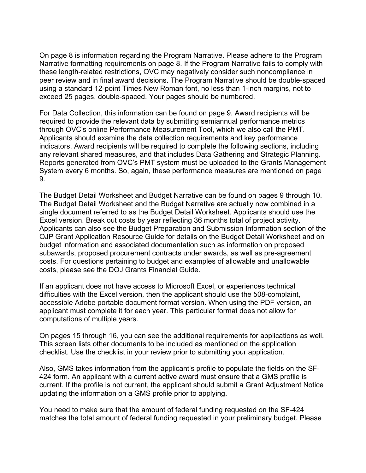On page 8 is information regarding the Program Narrative. Please adhere to the Program Narrative formatting requirements on page 8. If the Program Narrative fails to comply with these length-related restrictions, OVC may negatively consider such noncompliance in peer review and in final award decisions. The Program Narrative should be double-spaced using a standard 12-point Times New Roman font, no less than 1-inch margins, not to exceed 25 pages, double-spaced. Your pages should be numbered.

For Data Collection, this information can be found on page 9. Award recipients will be required to provide the relevant data by submitting semiannual performance metrics through OVC's online Performance Measurement Tool, which we also call the PMT. Applicants should examine the data collection requirements and key performance indicators. Award recipients will be required to complete the following sections, including any relevant shared measures, and that includes Data Gathering and Strategic Planning. Reports generated from OVC's PMT system must be uploaded to the Grants Management System every 6 months. So, again, these performance measures are mentioned on page 9.

The Budget Detail Worksheet and Budget Narrative can be found on pages 9 through 10. The Budget Detail Worksheet and the Budget Narrative are actually now combined in a single document referred to as the Budget Detail Worksheet. Applicants should use the Excel version. Break out costs by year reflecting 36 months total of project activity. Applicants can also see the Budget Preparation and Submission Information section of the OJP Grant Application Resource Guide for details on the Budget Detail Worksheet and on budget information and associated documentation such as information on proposed subawards, proposed procurement contracts under awards, as well as pre-agreement costs. For questions pertaining to budget and examples of allowable and unallowable costs, please see the DOJ Grants Financial Guide.

If an applicant does not have access to Microsoft Excel, or experiences technical difficulties with the Excel version, then the applicant should use the 508-complaint, accessible Adobe portable document format version. When using the PDF version, an applicant must complete it for each year. This particular format does not allow for computations of multiple years.

On pages 15 through 16, you can see the additional requirements for applications as well. This screen lists other documents to be included as mentioned on the application checklist. Use the checklist in your review prior to submitting your application.

Also, GMS takes information from the applicant's profile to populate the fields on the SF-424 form. An applicant with a current active award must ensure that a GMS profile is current. If the profile is not current, the applicant should submit a Grant Adjustment Notice updating the information on a GMS profile prior to applying.

You need to make sure that the amount of federal funding requested on the SF-424 matches the total amount of federal funding requested in your preliminary budget. Please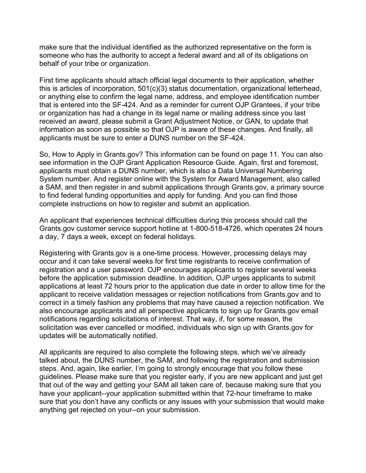make sure that the individual identified as the authorized representative on the form is someone who has the authority to accept a federal award and all of its obligations on behalf of your tribe or organization.

First time applicants should attach official legal documents to their application, whether this is articles of incorporation, 501(c)(3) status documentation, organizational letterhead, or anything else to confirm the legal name, address, and employee identification number that is entered into the SF-424. And as a reminder for current OJP Grantees, if your tribe or organization has had a change in its legal name or mailing address since you last received an award, please submit a Grant Adjustment Notice, or GAN, to update that information as soon as possible so that OJP is aware of these changes. And finally, all applicants must be sure to enter a DUNS number on the SF-424.

So, How to Apply in Grants.gov? This information can be found on page 11. You can also see information in the OJP Grant Application Resource Guide. Again, first and foremost, applicants must obtain a DUNS number, which is also a Data Universal Numbering System number. And register online with the System for Award Management, also called a SAM, and then register in and submit applications through Grants.gov, a primary source to find federal funding opportunities and apply for funding. And you can find those complete instructions on how to register and submit an application.

An applicant that experiences technical difficulties during this process should call the Grants.gov customer service support hotline at 1-800-518-4726, which operates 24 hours a day, 7 days a week, except on federal holidays.

Registering with Grants.gov is a one-time process. However, processing delays may occur and it can take several weeks for first time registrants to receive confirmation of registration and a user password. OJP encourages applicants to register several weeks before the application submission deadline. In addition, OJP urges applicants to submit applications at least 72 hours prior to the application due date in order to allow time for the applicant to receive validation messages or rejection notifications from Grants.gov and to correct in a timely fashion any problems that may have caused a rejection notification. We also encourage applicants and all perspective applicants to sign up for Grants.gov email notifications regarding solicitations of interest. That way, if, for some reason, the solicitation was ever cancelled or modified, individuals who sign up with Grants.gov for updates will be automatically notified.

All applicants are required to also complete the following steps, which we've already talked about, the DUNS number, the SAM, and following the registration and submission steps. And, again, like earlier, I'm going to strongly encourage that you follow these guidelines. Please make sure that you register early, if you are new applicant and just get that out of the way and getting your SAM all taken care of, because making sure that you have your applicant--your application submitted within that 72-hour timeframe to make sure that you don't have any conflicts or any issues with your submission that would make anything get rejected on your--on your submission.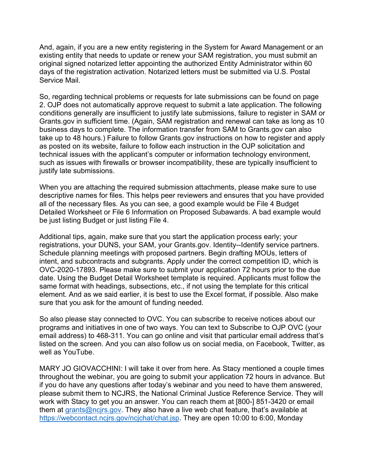And, again, if you are a new entity registering in the System for Award Management or an existing entity that needs to update or renew your SAM registration, you must submit an original signed notarized letter appointing the authorized Entity Administrator within 60 days of the registration activation. Notarized letters must be submitted via U.S. Postal Service Mail.

So, regarding technical problems or requests for late submissions can be found on page 2. OJP does not automatically approve request to submit a late application. The following conditions generally are insufficient to justify late submissions, failure to register in SAM or Grants.gov in sufficient time. (Again, SAM registration and renewal can take as long as 10 business days to complete. The information transfer from SAM to Grants.gov can also take up to 48 hours.) Failure to follow Grants.gov instructions on how to register and apply as posted on its website, failure to follow each instruction in the OJP solicitation and technical issues with the applicant's computer or information technology environment, such as issues with firewalls or browser incompatibility, these are typically insufficient to justify late submissions.

When you are attaching the required submission attachments, please make sure to use descriptive names for files. This helps peer reviewers and ensures that you have provided all of the necessary files. As you can see, a good example would be File 4 Budget Detailed Worksheet or File 6 Information on Proposed Subawards. A bad example would be just listing Budget or just listing File 4.

Additional tips, again, make sure that you start the application process early; your registrations, your DUNS, your SAM, your Grants.gov. Identity--Identify service partners. Schedule planning meetings with proposed partners. Begin drafting MOUs, letters of intent, and subcontracts and subgrants. Apply under the correct competition ID, which is OVC-2020-17893. Please make sure to submit your application 72 hours prior to the due date. Using the Budget Detail Worksheet template is required. Applicants must follow the same format with headings, subsections, etc., if not using the template for this critical element. And as we said earlier, it is best to use the Excel format, if possible. Also make sure that you ask for the amount of funding needed.

So also please stay connected to OVC. You can subscribe to receive notices about our programs and initiatives in one of two ways. You can text to Subscribe to OJP OVC (your email address) to 468-311. You can go online and visit that particular email address that's listed on the screen. And you can also follow us on social media, on Facebook, Twitter, as well as YouTube.

MARY JO GIOVACCHINI: I will take it over from here. As Stacy mentioned a couple times throughout the webinar, you are going to submit your application 72 hours in advance. But if you do have any questions after today's webinar and you need to have them answered, please submit them to NCJRS, the National Criminal Justice Reference Service. They will work with Stacy to get you an answer. You can reach them at [800-] 851-3420 or email them at [grants@ncjrs.gov.](mailto:grants@ncjrs.gov) They also have a live web chat feature, that's available at [https://webcontact.ncjrs.gov/ncjchat/chat.jsp.](https://webcontact.ncjrs.gov/ncjchat/chat.jsp) They are open 10:00 to 6:00, Monday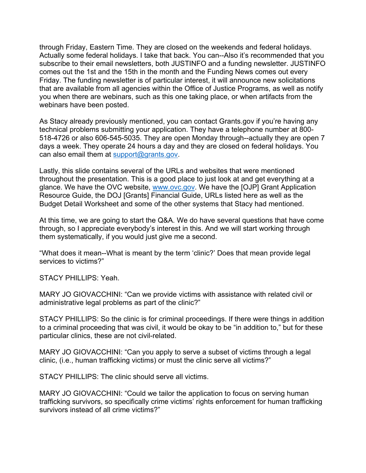through Friday, Eastern Time. They are closed on the weekends and federal holidays. Actually some federal holidays. I take that back. You can--Also it's recommended that you subscribe to their email newsletters, both JUSTINFO and a funding newsletter. JUSTINFO comes out the 1st and the 15th in the month and the Funding News comes out every Friday. The funding newsletter is of particular interest, it will announce new solicitations that are available from all agencies within the Office of Justice Programs, as well as notify you when there are webinars, such as this one taking place, or when artifacts from the webinars have been posted.

As Stacy already previously mentioned, you can contact Grants.gov if you're having any technical problems submitting your application. They have a telephone number at 800- 518-4726 or also 606-545-5035. They are open Monday through--actually they are open 7 days a week. They operate 24 hours a day and they are closed on federal holidays. You can also email them at [support@grants.gov.](mailto:support@grants.gov)

Lastly, this slide contains several of the URLs and websites that were mentioned throughout the presentation. This is a good place to just look at and get everything at a glance. We have the OVC website, [www.ovc.gov.](http://www.ovc.gov/) We have the [OJP] Grant Application Resource Guide, the DOJ [Grants] Financial Guide, URLs listed here as well as the Budget Detail Worksheet and some of the other systems that Stacy had mentioned.

At this time, we are going to start the Q&A. We do have several questions that have come through, so I appreciate everybody's interest in this. And we will start working through them systematically, if you would just give me a second.

"What does it mean--What is meant by the term 'clinic?' Does that mean provide legal services to victims?"

STACY PHILLIPS: Yeah.

MARY JO GIOVACCHINI: "Can we provide victims with assistance with related civil or administrative legal problems as part of the clinic?"

STACY PHILLIPS: So the clinic is for criminal proceedings. If there were things in addition to a criminal proceeding that was civil, it would be okay to be "in addition to," but for these particular clinics, these are not civil-related.

MARY JO GIOVACCHINI: "Can you apply to serve a subset of victims through a legal clinic, (i.e., human trafficking victims) or must the clinic serve all victims?"

STACY PHILLIPS: The clinic should serve all victims.

MARY JO GIOVACCHINI: "Could we tailor the application to focus on serving human trafficking survivors, so specifically crime victims' rights enforcement for human trafficking survivors instead of all crime victims?"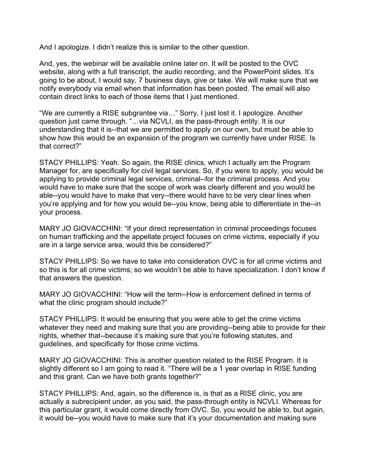And I apologize. I didn't realize this is similar to the other question.

And, yes, the webinar will be available online later on. It will be posted to the OVC website, along with a full transcript, the audio recording, and the PowerPoint slides. It's going to be about, I would say, 7 business days, give or take. We will make sure that we notify everybody via email when that information has been posted. The email will also contain direct links to each of those items that I just mentioned.

"We are currently a RISE subgrantee via…" Sorry, I just lost it. I apologize. Another question just came through. "…via NCVLI, as the pass-through entity. It is our understanding that it is--that we are permitted to apply on our own, but must be able to show how this would be an expansion of the program we currently have under RISE. Is that correct?"

STACY PHILLIPS: Yeah. So again, the RISE clinics, which I actually am the Program Manager for, are specifically for civil legal services. So, if you were to apply, you would be applying to provide criminal legal services, criminal--for the criminal process. And you would have to make sure that the scope of work was clearly different and you would be able--you would have to make that very--there would have to be very clear lines when you're applying and for how you would be--you know, being able to differentiate in the--in your process.

MARY JO GIOVACCHINI: "If your direct representation in criminal proceedings focuses on human trafficking and the appellate project focuses on crime victims, especially if you are in a large service area, would this be considered?"

STACY PHILLIPS: So we have to take into consideration OVC is for all crime victims and so this is for all crime victims; so we wouldn't be able to have specialization. I don't know if that answers the question.

MARY JO GIOVACCHINI: "How will the term--How is enforcement defined in terms of what the clinic program should include?"

STACY PHILLIPS: It would be ensuring that you were able to get the crime victims whatever they need and making sure that you are providing--being able to provide for their rights, whether that--because it's making sure that you're following statutes, and guidelines, and specifically for those crime victims.

MARY JO GIOVACCHINI: This is another question related to the RISE Program. It is slightly different so I am going to read it. "There will be a 1 year overlap in RISE funding and this grant. Can we have both grants together?"

STACY PHILLIPS: And, again, so the difference is, is that as a RISE clinic, you are actually a subrecipient under, as you said, the pass-through entity is NCVLI. Whereas for this particular grant, it would come directly from OVC. So, you would be able to, but again, it would be--you would have to make sure that it's your documentation and making sure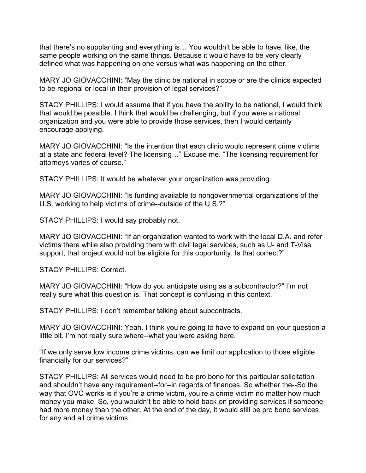that there's no supplanting and everything is… You wouldn't be able to have, like, the same people working on the same things. Because it would have to be very clearly defined what was happening on one versus what was happening on the other.

MARY JO GIOVACCHINI: "May the clinic be national in scope or are the clinics expected to be regional or local in their provision of legal services?"

STACY PHILLIPS: I would assume that if you have the ability to be national, I would think that would be possible. I think that would be challenging, but if you were a national organization and you were able to provide those services, then I would certainly encourage applying.

MARY JO GIOVACCHINI: "Is the intention that each clinic would represent crime victims at a state and federal level? The licensing…" Excuse me. "The licensing requirement for attorneys varies of course."

STACY PHILLIPS: It would be whatever your organization was providing.

MARY JO GIOVACCHINI: "Is funding available to nongovernmental organizations of the U.S. working to help victims of crime--outside of the U.S.?"

STACY PHILLIPS: I would say probably not.

MARY JO GIOVACCHINI: "If an organization wanted to work with the local D.A. and refer victims there while also providing them with civil legal services, such as U- and T-Visa support, that project would not be eligible for this opportunity. Is that correct?"

STACY PHILLIPS: Correct.

MARY JO GIOVACCHINI: "How do you anticipate using as a subcontractor?" I'm not really sure what this question is. That concept is confusing in this context.

STACY PHILLIPS: I don't remember talking about subcontracts.

MARY JO GIOVACCHINI: Yeah. I think you're going to have to expand on your question a little bit. I'm not really sure where--what you were asking here.

"If we only serve low income crime victims, can we limit our application to those eligible financially for our services?"

STACY PHILLIPS: All services would need to be pro bono for this particular solicitation and shouldn't have any requirement--for--in regards of finances. So whether the--So the way that OVC works is if you're a crime victim, you're a crime victim no matter how much money you make. So, you wouldn't be able to hold back on providing services if someone had more money than the other. At the end of the day, it would still be pro bono services for any and all crime victims.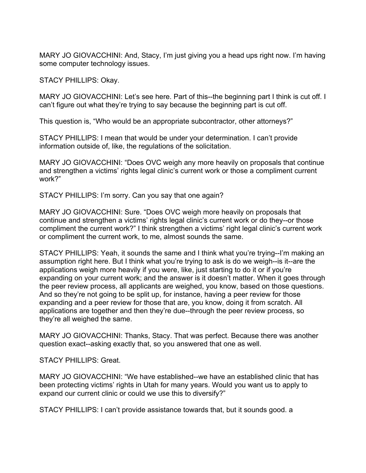MARY JO GIOVACCHINI: And, Stacy, I'm just giving you a head ups right now. I'm having some computer technology issues.

STACY PHILLIPS: Okay.

MARY JO GIOVACCHINI: Let's see here. Part of this--the beginning part I think is cut off. I can't figure out what they're trying to say because the beginning part is cut off.

This question is, "Who would be an appropriate subcontractor, other attorneys?"

STACY PHILLIPS: I mean that would be under your determination. I can't provide information outside of, like, the regulations of the solicitation.

MARY JO GIOVACCHINI: "Does OVC weigh any more heavily on proposals that continue and strengthen a victims' rights legal clinic's current work or those a compliment current work?"

STACY PHILLIPS: I'm sorry. Can you say that one again?

MARY JO GIOVACCHINI: Sure. "Does OVC weigh more heavily on proposals that continue and strengthen a victims' rights legal clinic's current work or do they--or those compliment the current work?" I think strengthen a victims' right legal clinic's current work or compliment the current work, to me, almost sounds the same.

STACY PHILLIPS: Yeah, it sounds the same and I think what you're trying--I'm making an assumption right here. But I think what you're trying to ask is do we weigh--is it--are the applications weigh more heavily if you were, like, just starting to do it or if you're expanding on your current work; and the answer is it doesn't matter. When it goes through the peer review process, all applicants are weighed, you know, based on those questions. And so they're not going to be split up, for instance, having a peer review for those expanding and a peer review for those that are, you know, doing it from scratch. All applications are together and then they're due--through the peer review process, so they're all weighed the same.

MARY JO GIOVACCHINI: Thanks, Stacy. That was perfect. Because there was another question exact--asking exactly that, so you answered that one as well.

STACY PHILLIPS: Great.

MARY JO GIOVACCHINI: "We have established--we have an established clinic that has been protecting victims' rights in Utah for many years. Would you want us to apply to expand our current clinic or could we use this to diversify?"

STACY PHILLIPS: I can't provide assistance towards that, but it sounds good. a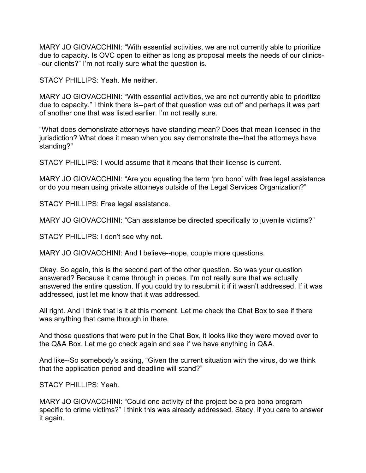MARY JO GIOVACCHINI: "With essential activities, we are not currently able to prioritize due to capacity. Is OVC open to either as long as proposal meets the needs of our clinics- -our clients?" I'm not really sure what the question is.

STACY PHILLIPS: Yeah. Me neither.

MARY JO GIOVACCHINI: "With essential activities, we are not currently able to prioritize due to capacity." I think there is--part of that question was cut off and perhaps it was part of another one that was listed earlier. I'm not really sure.

"What does demonstrate attorneys have standing mean? Does that mean licensed in the jurisdiction? What does it mean when you say demonstrate the--that the attorneys have standing?"

STACY PHILLIPS: I would assume that it means that their license is current.

MARY JO GIOVACCHINI: "Are you equating the term 'pro bono' with free legal assistance or do you mean using private attorneys outside of the Legal Services Organization?"

STACY PHILLIPS: Free legal assistance.

MARY JO GIOVACCHINI: "Can assistance be directed specifically to juvenile victims?"

STACY PHILLIPS: I don't see why not.

MARY JO GIOVACCHINI: And I believe--nope, couple more questions.

Okay. So again, this is the second part of the other question. So was your question answered? Because it came through in pieces. I'm not really sure that we actually answered the entire question. If you could try to resubmit it if it wasn't addressed. If it was addressed, just let me know that it was addressed.

All right. And I think that is it at this moment. Let me check the Chat Box to see if there was anything that came through in there.

And those questions that were put in the Chat Box, it looks like they were moved over to the Q&A Box. Let me go check again and see if we have anything in Q&A.

And like--So somebody's asking, "Given the current situation with the virus, do we think that the application period and deadline will stand?"

STACY PHILLIPS: Yeah.

MARY JO GIOVACCHINI: "Could one activity of the project be a pro bono program specific to crime victims?" I think this was already addressed. Stacy, if you care to answer it again.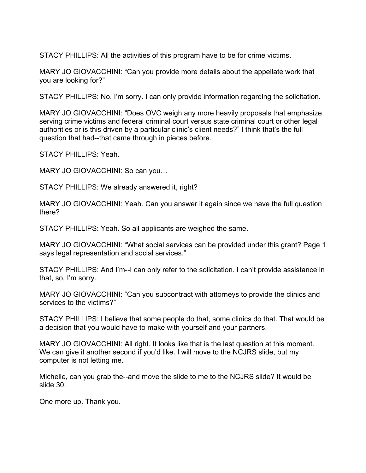STACY PHILLIPS: All the activities of this program have to be for crime victims.

MARY JO GIOVACCHINI: "Can you provide more details about the appellate work that you are looking for?"

STACY PHILLIPS: No, I'm sorry. I can only provide information regarding the solicitation.

MARY JO GIOVACCHINI: "Does OVC weigh any more heavily proposals that emphasize serving crime victims and federal criminal court versus state criminal court or other legal authorities or is this driven by a particular clinic's client needs?" I think that's the full question that had--that came through in pieces before.

STACY PHILLIPS: Yeah.

MARY JO GIOVACCHINI: So can you...

STACY PHILLIPS: We already answered it, right?

MARY JO GIOVACCHINI: Yeah. Can you answer it again since we have the full question there?

STACY PHILLIPS: Yeah. So all applicants are weighed the same.

MARY JO GIOVACCHINI: "What social services can be provided under this grant? Page 1 says legal representation and social services."

STACY PHILLIPS: And I'm--I can only refer to the solicitation. I can't provide assistance in that, so, I'm sorry.

MARY JO GIOVACCHINI: "Can you subcontract with attorneys to provide the clinics and services to the victims?"

STACY PHILLIPS: I believe that some people do that, some clinics do that. That would be a decision that you would have to make with yourself and your partners.

MARY JO GIOVACCHINI: All right. It looks like that is the last question at this moment. We can give it another second if you'd like. I will move to the NCJRS slide, but my computer is not letting me.

Michelle, can you grab the--and move the slide to me to the NCJRS slide? It would be slide 30.

One more up. Thank you.